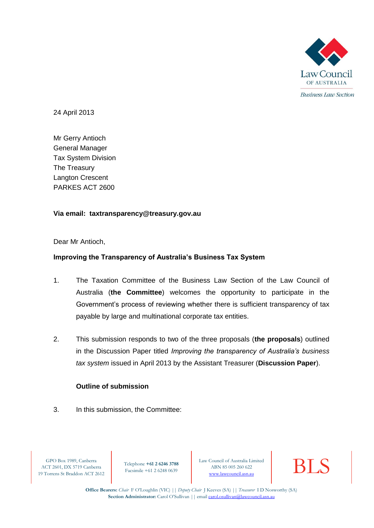

24 April 2013

Mr Gerry Antioch General Manager Tax System Division The Treasury Langton Crescent PARKES ACT 2600

# **Via email: taxtransparency@treasury.gov.au**

Dear Mr Antioch,

# **Improving the Transparency of Australia's Business Tax System**

- 1. The Taxation Committee of the Business Law Section of the Law Council of Australia (**the Committee**) welcomes the opportunity to participate in the Government's process of reviewing whether there is sufficient transparency of tax payable by large and multinational corporate tax entities.
- 2. This submission responds to two of the three proposals (**the proposals**) outlined in the Discussion Paper titled *Improving the transparency of Australia's business tax system* issued in April 2013 by the Assistant Treasurer (**Discussion Paper**).

## **Outline of submission**

3. In this submission, the Committee:

GPO Box 1989, Canberra ACT 2601, DX 5719 Canberra 19 Torrens St Braddon ACT 2612

Telephone **+61 2 6246 3788** Facsimile +61 2 6248 0639

Law Council of Australia Limited<br>
ABN 85 005 260 622<br>
www.lawcouncil.asn.au ABN 85 005 260 622



**Office Bearers:** *Chair* F O'Loughlin (VIC) || *Deputy Chair* J Keeves (SA) || *Treasurer* I D Nosworthy (SA) Section Administrator: Carol O'Sullivan || email carol.osullivan@lawcouncil.asn.au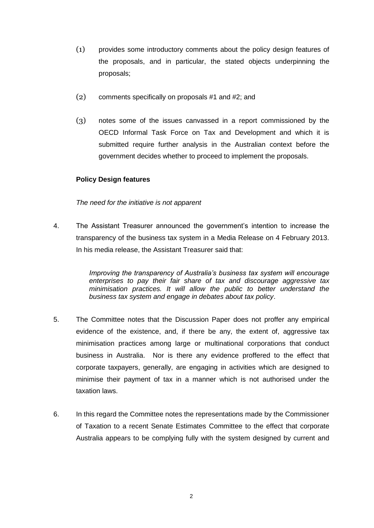- (1) provides some introductory comments about the policy design features of the proposals, and in particular, the stated objects underpinning the proposals;
- (2) comments specifically on proposals #1 and #2; and
- (3) notes some of the issues canvassed in a report commissioned by the OECD Informal Task Force on Tax and Development and which it is submitted require further analysis in the Australian context before the government decides whether to proceed to implement the proposals.

# **Policy Design features**

## *The need for the initiative is not apparent*

4. The Assistant Treasurer announced the government's intention to increase the transparency of the business tax system in a Media Release on 4 February 2013. In his media release, the Assistant Treasurer said that:

> *Improving the transparency of Australia's business tax system will encourage enterprises to pay their fair share of tax and discourage aggressive tax minimisation practices. It will allow the public to better understand the business tax system and engage in debates about tax policy*.

- 5. The Committee notes that the Discussion Paper does not proffer any empirical evidence of the existence, and, if there be any, the extent of, aggressive tax minimisation practices among large or multinational corporations that conduct business in Australia. Nor is there any evidence proffered to the effect that corporate taxpayers, generally, are engaging in activities which are designed to minimise their payment of tax in a manner which is not authorised under the taxation laws.
- 6. In this regard the Committee notes the representations made by the Commissioner of Taxation to a recent Senate Estimates Committee to the effect that corporate Australia appears to be complying fully with the system designed by current and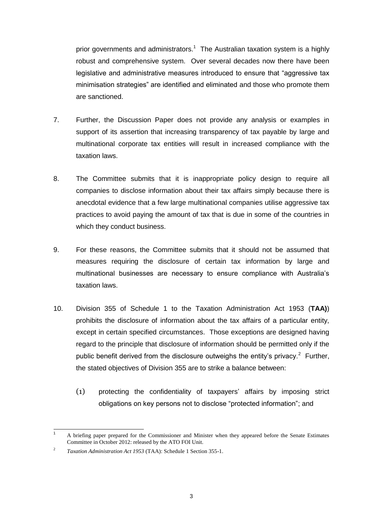prior governments and administrators.<sup>1</sup> The Australian taxation system is a highly robust and comprehensive system. Over several decades now there have been legislative and administrative measures introduced to ensure that "aggressive tax minimisation strategies" are identified and eliminated and those who promote them are sanctioned.

- 7. Further, the Discussion Paper does not provide any analysis or examples in support of its assertion that increasing transparency of tax payable by large and multinational corporate tax entities will result in increased compliance with the taxation laws.
- 8. The Committee submits that it is inappropriate policy design to require all companies to disclose information about their tax affairs simply because there is anecdotal evidence that a few large multinational companies utilise aggressive tax practices to avoid paying the amount of tax that is due in some of the countries in which they conduct business.
- 9. For these reasons, the Committee submits that it should not be assumed that measures requiring the disclosure of certain tax information by large and multinational businesses are necessary to ensure compliance with Australia's taxation laws.
- 10. Division 355 of Schedule 1 to the Taxation Administration Act 1953 (**TAA)**) prohibits the disclosure of information about the tax affairs of a particular entity, except in certain specified circumstances. Those exceptions are designed having regard to the principle that disclosure of information should be permitted only if the public benefit derived from the disclosure outweighs the entity's privacy.<sup>2</sup> Further, the stated objectives of Division 355 are to strike a balance between:
	- (1) protecting the confidentiality of taxpayers' affairs by imposing strict obligations on key persons not to disclose "protected information"; and

 $\overline{1}$ <sup>1</sup> A briefing paper prepared for the Commissioner and Minister when they appeared before the Senate Estimates Committee in October 2012: released by the ATO FOI Unit.

 $\overline{2}$ *Taxation Administration Act 1953* (TAA): Schedule 1 Section 355-1.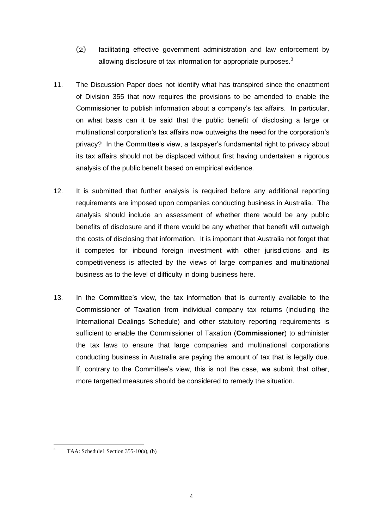- (2) facilitating effective government administration and law enforcement by allowing disclosure of tax information for appropriate purposes.<sup>3</sup>
- 11. The Discussion Paper does not identify what has transpired since the enactment of Division 355 that now requires the provisions to be amended to enable the Commissioner to publish information about a company's tax affairs. In particular, on what basis can it be said that the public benefit of disclosing a large or multinational corporation's tax affairs now outweighs the need for the corporation's privacy? In the Committee's view, a taxpayer's fundamental right to privacy about its tax affairs should not be displaced without first having undertaken a rigorous analysis of the public benefit based on empirical evidence.
- 12. It is submitted that further analysis is required before any additional reporting requirements are imposed upon companies conducting business in Australia. The analysis should include an assessment of whether there would be any public benefits of disclosure and if there would be any whether that benefit will outweigh the costs of disclosing that information. It is important that Australia not forget that it competes for inbound foreign investment with other jurisdictions and its competitiveness is affected by the views of large companies and multinational business as to the level of difficulty in doing business here.
- 13. In the Committee's view, the tax information that is currently available to the Commissioner of Taxation from individual company tax returns (including the International Dealings Schedule) and other statutory reporting requirements is sufficient to enable the Commissioner of Taxation (**Commissioner**) to administer the tax laws to ensure that large companies and multinational corporations conducting business in Australia are paying the amount of tax that is legally due. If, contrary to the Committee's view, this is not the case, we submit that other, more targetted measures should be considered to remedy the situation.

<sup>1</sup> <sup>3</sup> TAA: Schedule1 Section 355-10(a), (b)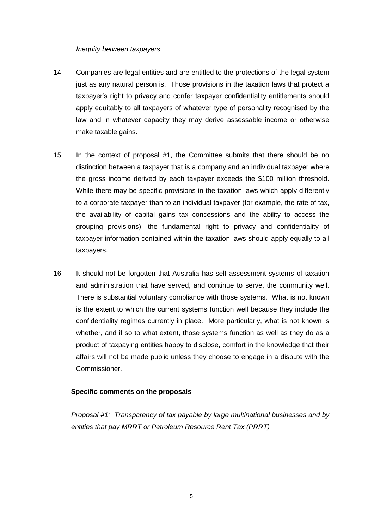#### *Inequity between taxpayers*

- 14. Companies are legal entities and are entitled to the protections of the legal system just as any natural person is. Those provisions in the taxation laws that protect a taxpayer's right to privacy and confer taxpayer confidentiality entitlements should apply equitably to all taxpayers of whatever type of personality recognised by the law and in whatever capacity they may derive assessable income or otherwise make taxable gains.
- 15. In the context of proposal #1, the Committee submits that there should be no distinction between a taxpayer that is a company and an individual taxpayer where the gross income derived by each taxpayer exceeds the \$100 million threshold. While there may be specific provisions in the taxation laws which apply differently to a corporate taxpayer than to an individual taxpayer (for example, the rate of tax, the availability of capital gains tax concessions and the ability to access the grouping provisions), the fundamental right to privacy and confidentiality of taxpayer information contained within the taxation laws should apply equally to all taxpayers.
- 16. It should not be forgotten that Australia has self assessment systems of taxation and administration that have served, and continue to serve, the community well. There is substantial voluntary compliance with those systems. What is not known is the extent to which the current systems function well because they include the confidentiality regimes currently in place. More particularly, what is not known is whether, and if so to what extent, those systems function as well as they do as a product of taxpaying entities happy to disclose, comfort in the knowledge that their affairs will not be made public unless they choose to engage in a dispute with the Commissioner.

## **Specific comments on the proposals**

*Proposal #1: Transparency of tax payable by large multinational businesses and by entities that pay MRRT or Petroleum Resource Rent Tax (PRRT)*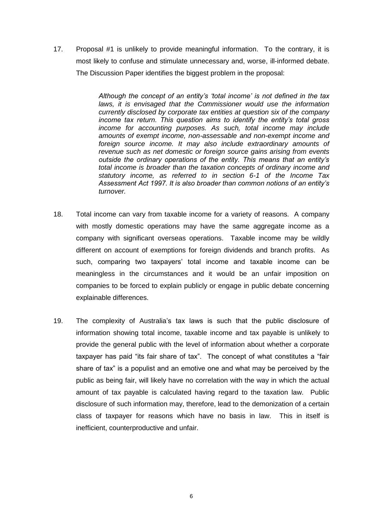17. Proposal #1 is unlikely to provide meaningful information. To the contrary, it is most likely to confuse and stimulate unnecessary and, worse, ill-informed debate. The Discussion Paper identifies the biggest problem in the proposal:

> *Although the concept of an entity's 'total income' is not defined in the tax laws, it is envisaged that the Commissioner would use the information currently disclosed by corporate tax entities at question six of the company income tax return. This question aims to identify the entity's total gross income for accounting purposes. As such, total income may include amounts of exempt income, non-assessable and non-exempt income and foreign source income. It may also include extraordinary amounts of revenue such as net domestic or foreign source gains arising from events outside the ordinary operations of the entity. This means that an entity's total income is broader than the taxation concepts of ordinary income and statutory income, as referred to in section 6-1 of the Income Tax Assessment Act 1997. It is also broader than common notions of an entity's turnover.*

- 18. Total income can vary from taxable income for a variety of reasons. A company with mostly domestic operations may have the same aggregate income as a company with significant overseas operations. Taxable income may be wildly different on account of exemptions for foreign dividends and branch profits. As such, comparing two taxpayers' total income and taxable income can be meaningless in the circumstances and it would be an unfair imposition on companies to be forced to explain publicly or engage in public debate concerning explainable differences.
- 19. The complexity of Australia's tax laws is such that the public disclosure of information showing total income, taxable income and tax payable is unlikely to provide the general public with the level of information about whether a corporate taxpayer has paid "its fair share of tax". The concept of what constitutes a "fair share of tax" is a populist and an emotive one and what may be perceived by the public as being fair, will likely have no correlation with the way in which the actual amount of tax payable is calculated having regard to the taxation law. Public disclosure of such information may, therefore, lead to the demonization of a certain class of taxpayer for reasons which have no basis in law. This in itself is inefficient, counterproductive and unfair.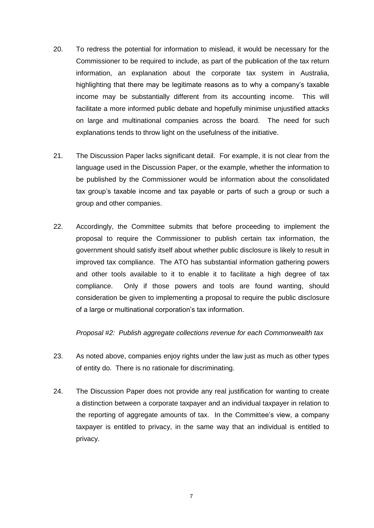- 20. To redress the potential for information to mislead, it would be necessary for the Commissioner to be required to include, as part of the publication of the tax return information, an explanation about the corporate tax system in Australia, highlighting that there may be legitimate reasons as to why a company's taxable income may be substantially different from its accounting income. This will facilitate a more informed public debate and hopefully minimise unjustified attacks on large and multinational companies across the board. The need for such explanations tends to throw light on the usefulness of the initiative.
- 21. The Discussion Paper lacks significant detail. For example, it is not clear from the language used in the Discussion Paper, or the example, whether the information to be published by the Commissioner would be information about the consolidated tax group's taxable income and tax payable or parts of such a group or such a group and other companies.
- 22. Accordingly, the Committee submits that before proceeding to implement the proposal to require the Commissioner to publish certain tax information, the government should satisfy itself about whether public disclosure is likely to result in improved tax compliance. The ATO has substantial information gathering powers and other tools available to it to enable it to facilitate a high degree of tax compliance. Only if those powers and tools are found wanting, should consideration be given to implementing a proposal to require the public disclosure of a large or multinational corporation's tax information.

*Proposal #2: Publish aggregate collections revenue for each Commonwealth tax*

- 23. As noted above, companies enjoy rights under the law just as much as other types of entity do. There is no rationale for discriminating.
- 24. The Discussion Paper does not provide any real justification for wanting to create a distinction between a corporate taxpayer and an individual taxpayer in relation to the reporting of aggregate amounts of tax. In the Committee's view, a company taxpayer is entitled to privacy, in the same way that an individual is entitled to privacy.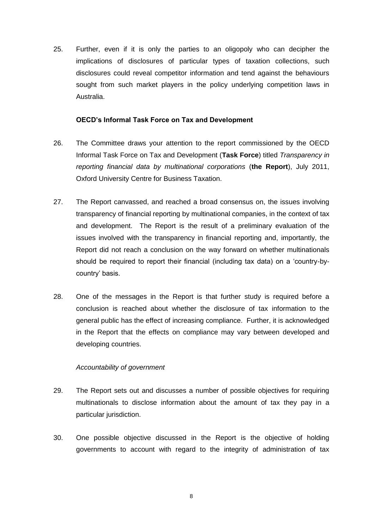25. Further, even if it is only the parties to an oligopoly who can decipher the implications of disclosures of particular types of taxation collections, such disclosures could reveal competitor information and tend against the behaviours sought from such market players in the policy underlying competition laws in Australia.

## **OECD's Informal Task Force on Tax and Development**

- 26. The Committee draws your attention to the report commissioned by the OECD Informal Task Force on Tax and Development (**Task Force**) titled *Transparency in reporting financial data by multinational corporations* (**the Report**), July 2011, Oxford University Centre for Business Taxation.
- 27. The Report canvassed, and reached a broad consensus on, the issues involving transparency of financial reporting by multinational companies, in the context of tax and development. The Report is the result of a preliminary evaluation of the issues involved with the transparency in financial reporting and, importantly, the Report did not reach a conclusion on the way forward on whether multinationals should be required to report their financial (including tax data) on a 'country-bycountry' basis.
- 28. One of the messages in the Report is that further study is required before a conclusion is reached about whether the disclosure of tax information to the general public has the effect of increasing compliance. Further, it is acknowledged in the Report that the effects on compliance may vary between developed and developing countries.

## *Accountability of government*

- 29. The Report sets out and discusses a number of possible objectives for requiring multinationals to disclose information about the amount of tax they pay in a particular jurisdiction.
- 30. One possible objective discussed in the Report is the objective of holding governments to account with regard to the integrity of administration of tax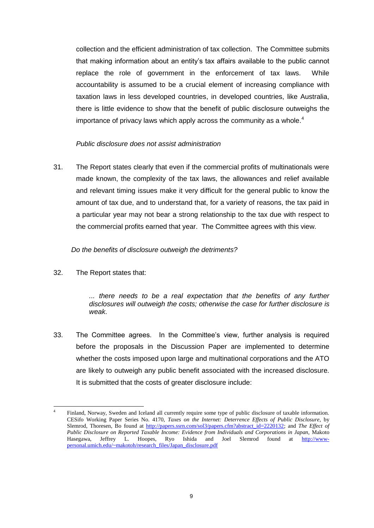collection and the efficient administration of tax collection. The Committee submits that making information about an entity's tax affairs available to the public cannot replace the role of government in the enforcement of tax laws. While accountability is assumed to be a crucial element of increasing compliance with taxation laws in less developed countries, in developed countries, like Australia, there is little evidence to show that the benefit of public disclosure outweighs the importance of privacy laws which apply across the community as a whole. $4$ 

## *Public disclosure does not assist administration*

31. The Report states clearly that even if the commercial profits of multinationals were made known, the complexity of the tax laws, the allowances and relief available and relevant timing issues make it very difficult for the general public to know the amount of tax due, and to understand that, for a variety of reasons, the tax paid in a particular year may not bear a strong relationship to the tax due with respect to the commercial profits earned that year. The Committee agrees with this view.

#### *Do the benefits of disclosure outweigh the detriments?*

32. The Report states that:

*... there needs to be a real expectation that the benefits of any further disclosures will outweigh the costs; otherwise the case for further disclosure is weak*.

33. The Committee agrees. In the Committee's view, further analysis is required before the proposals in the Discussion Paper are implemented to determine whether the costs imposed upon large and multinational corporations and the ATO are likely to outweigh any public benefit associated with the increased disclosure. It is submitted that the costs of greater disclosure include:

<sup>1</sup> 4 Finland, Norway, Sweden and Iceland all currently require some type of public disclosure of taxable information. CESifo Working Paper Series No. 4170, *Taxes on the Internet: Deterrence Effects of Public Disclosure*, by Slemrod, Thoresen, Bo found at [http://papers.ssrn.com/sol3/papers.cfm?abstract\\_id=2220132;](http://papers.ssrn.com/sol3/papers.cfm?abstract_id=2220132) and *The Effect of Public Disclosure on Reported Taxable Income: Evidence from Individuals and Corporations in Japan,* Makoto Hasegawa, Jeffrey L. Hoopes, Ryo Ishida and Joel Slemrod found at [http://www](http://www-personal.umich.edu/~makotoh/research_files/Japan_disclosure.pdf)[personal.umich.edu/~makotoh/research\\_files/Japan\\_disclosure.pdf](http://www-personal.umich.edu/~makotoh/research_files/Japan_disclosure.pdf)